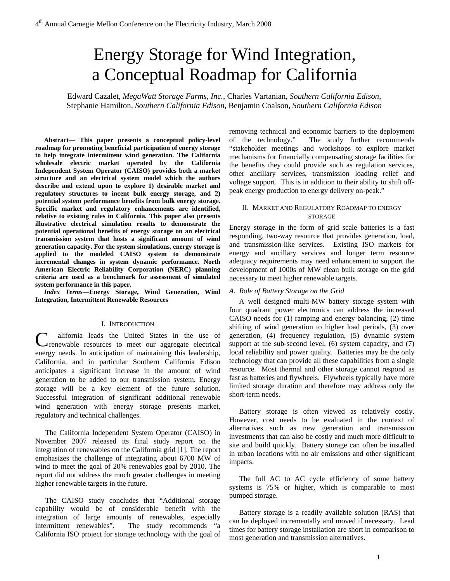# Energy Storage for Wind Integration, a Conceptual Roadmap for California

Edward Cazalet, *MegaWatt Storage Farms, Inc.,* Charles Vartanian, *Southern California Edison*, Stephanie Hamilton*, Southern California Edison,* Benjamin Coalson*, Southern California Edison*

**Abstract— This paper presents a conceptual policy-level roadmap for promoting beneficial participation of energy storage to help integrate intermittent wind generation. The California wholesale electric market operated by the California Independent System Operator (CAISO) provides both a market structure and an electrical system model which the authors describe and extend upon to explore 1) desirable market and regulatory structures to incent bulk energy storage, and 2) potential system performance benefits from bulk energy storage. Specific market and regulatory enhancements are identified, relative to existing rules in California. This paper also presents illustrative electrical simulation results to demonstrate the potential operational benefits of energy storage on an electrical transmission system that hosts a significant amount of wind generation capacity. For the system simulations, energy storage is applied to the modeled CAISO system to demonstrate incremental changes in system dynamic performance. North American Electric Reliability Corporation (NERC) planning criteria are used as a benchmark for assessment of simulated system performance in this paper.** 

*Index Terms***—Energy Storage, Wind Generation, Wind Integration, Intermittent Renewable Resources** 

# I. INTRODUCTION

alifornia leads the United States in the use of C renewable resources to meet our aggregate electrical energy needs. In anticipation of maintaining this leadership, California, and in particular Southern California Edison anticipates a significant increase in the amount of wind generation to be added to our transmission system. Energy storage will be a key element of the future solution. Successful integration of significant additional renewable wind generation with energy storage presents market, regulatory and technical challenges.

The California Independent System Operator (CAISO) in November 2007 released its final study report on the integration of renewables on the California grid [1]. The report emphasizes the challenge of integrating about 6700 MW of wind to meet the goal of 20% renewables goal by 2010. The report did not address the much greater challenges in meeting higher renewable targets in the future.

The CAISO study concludes that "Additional storage capability would be of considerable benefit with the integration of large amounts of renewables, especially intermittent renewables". The study recommends "a California ISO project for storage technology with the goal of

removing technical and economic barriers to the deployment of the technology." The study further recommends "stakeholder meetings and workshops to explore market mechanisms for financially compensating storage facilities for the benefits they could provide such as regulation services, other ancillary services, transmission loading relief and voltage support. This is in addition to their ability to shift offpeak energy production to energy delivery on-peak."

## II. MARKET AND REGULATORY ROADMAP TO ENERGY STORAGE

Energy storage in the form of grid scale batteries is a fast responding, two-way resource that provides generation, load, and transmission-like services. Existing ISO markets for energy and ancillary services and longer term resource adequacy requirements may need enhancement to support the development of 1000s of MW clean bulk storage on the grid necessary to meet higher renewable targets.

### *A. Role of Battery Storage on the Grid*

A well designed multi-MW battery storage system with four quadrant power electronics can address the increased CAISO needs for (1) ramping and energy balancing, (2) time shifting of wind generation to higher load periods, (3) over generation, (4) frequency regulation, (5) dynamic system support at the sub-second level, (6) system capacity, and (7) local reliability and power quality. Batteries may be the only technology that can provide all these capabilities from a single resource. Most thermal and other storage cannot respond as fast as batteries and flywheels. Flywheels typically have more limited storage duration and therefore may address only the short-term needs.

Battery storage is often viewed as relatively costly. However, cost needs to be evaluated in the context of alternatives such as new generation and transmission investments that can also be costly and much more difficult to site and build quickly. Battery storage can often be installed in urban locations with no air emissions and other significant impacts.

The full AC to AC cycle efficiency of some battery systems is 75% or higher, which is comparable to most pumped storage.

Battery storage is a readily available solution (RAS) that can be deployed incrementally and moved if necessary. Lead times for battery storage installation are short in comparison to most generation and transmission alternatives.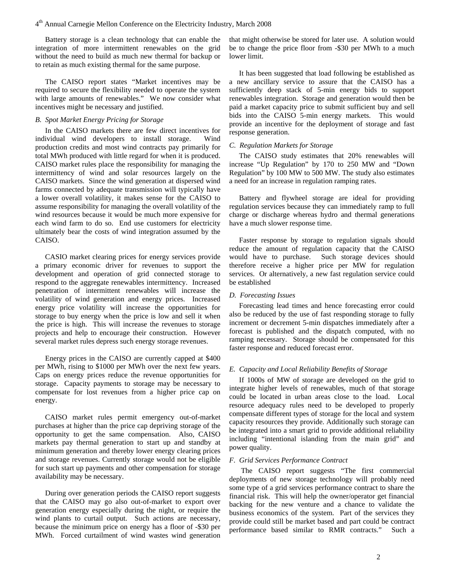Battery storage is a clean technology that can enable the integration of more intermittent renewables on the grid without the need to build as much new thermal for backup or to retain as much existing thermal for the same purpose.

The CAISO report states "Market incentives may be required to secure the flexibility needed to operate the system with large amounts of renewables." We now consider what incentives might be necessary and justified.

## *B. Spot Market Energy Pricing for Storage*

In the CAISO markets there are few direct incentives for individual wind developers to install storage. Wind production credits and most wind contracts pay primarily for total MWh produced with little regard for when it is produced. CAISO market rules place the responsibility for managing the intermittency of wind and solar resources largely on the CAISO markets. Since the wind generation at dispersed wind farms connected by adequate transmission will typically have a lower overall volatility, it makes sense for the CAISO to assume responsibility for managing the overall volatility of the wind resources because it would be much more expensive for each wind farm to do so. End use customers for electricity ultimately bear the costs of wind integration assumed by the CAISO.

CASIO market clearing prices for energy services provide a primary economic driver for revenues to support the development and operation of grid connected storage to respond to the aggregate renewables intermittency. Increased penetration of intermittent renewables will increase the volatility of wind generation and energy prices. Increased energy price volatility will increase the opportunities for storage to buy energy when the price is low and sell it when the price is high. This will increase the revenues to storage projects and help to encourage their construction. However several market rules depress such energy storage revenues.

Energy prices in the CAISO are currently capped at \$400 per MWh, rising to \$1000 per MWh over the next few years. Caps on energy prices reduce the revenue opportunities for storage. Capacity payments to storage may be necessary to compensate for lost revenues from a higher price cap on energy.

CAISO market rules permit emergency out-of-market purchases at higher than the price cap depriving storage of the opportunity to get the same compensation. Also, CAISO markets pay thermal generation to start up and standby at minimum generation and thereby lower energy clearing prices and storage revenues. Currently storage would not be eligible for such start up payments and other compensation for storage availability may be necessary.

During over generation periods the CAISO report suggests that the CAISO may go also out-of-market to export over generation energy especially during the night, or require the wind plants to curtail output. Such actions are necessary, because the minimum price on energy has a floor of -\$30 per MWh. Forced curtailment of wind wastes wind generation that might otherwise be stored for later use. A solution would be to change the price floor from -\$30 per MWh to a much lower limit.

It has been suggested that load following be established as a new ancillary service to assure that the CAISO has a sufficiently deep stack of 5-min energy bids to support renewables integration. Storage and generation would then be paid a market capacity price to submit sufficient buy and sell bids into the CAISO 5-min energy markets. This would provide an incentive for the deployment of storage and fast response generation.

## *C. Regulation Markets for Storage*

The CAISO study estimates that 20% renewables will increase "Up Regulation" by 170 to 250 MW and "Down Regulation" by 100 MW to 500 MW. The study also estimates a need for an increase in regulation ramping rates.

Battery and flywheel storage are ideal for providing regulation services because they can immediately ramp to full charge or discharge whereas hydro and thermal generations have a much slower response time.

Faster response by storage to regulation signals should reduce the amount of regulation capacity that the CAISO would have to purchase. Such storage devices should therefore receive a higher price per MW for regulation services. Or alternatively, a new fast regulation service could be established

# *D. Forecasting Issues*

Forecasting lead times and hence forecasting error could also be reduced by the use of fast responding storage to fully increment or decrement 5-min dispatches immediately after a forecast is published and the dispatch computed, with no ramping necessary. Storage should be compensated for this faster response and reduced forecast error.

# *E. Capacity and Local Reliability Benefits of Storage*

If 1000s of MW of storage are developed on the grid to integrate higher levels of renewables, much of that storage could be located in urban areas close to the load. Local resource adequacy rules need to be developed to properly compensate different types of storage for the local and system capacity resources they provide. Additionally such storage can be integrated into a smart grid to provide additional reliability including "intentional islanding from the main grid" and power quality.

#### *F. Grid Services Performance Contract*

The CAISO report suggests "The first commercial deployments of new storage technology will probably need some type of a grid services performance contract to share the financial risk. This will help the owner/operator get financial backing for the new venture and a chance to validate the business economics of the system. Part of the services they provide could still be market based and part could be contract performance based similar to RMR contracts." Such a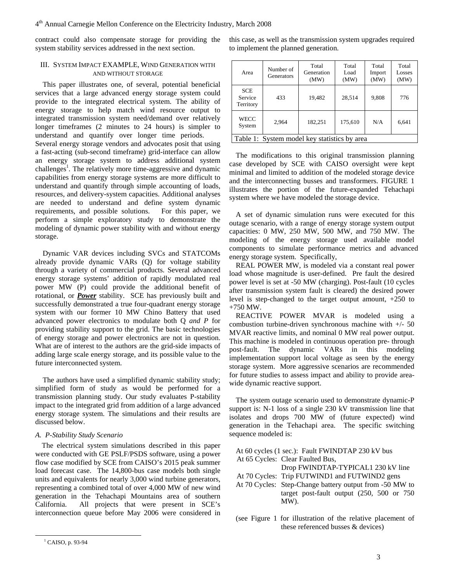contract could also compensate storage for providing the system stability services addressed in the next section.

# III. SYSTEM IMPACT EXAMPLE, WIND GENERATION WITH AND WITHOUT STORAGE

This paper illustrates one, of several, potential beneficial services that a large advanced energy storage system could provide to the integrated electrical system. The ability of energy storage to help match wind resource output to integrated transmission system need/demand over relatively longer timeframes (2 minutes to 24 hours) is simpler to understand and quantify over longer time periods. Several energy storage vendors and advocates posit that using a fast-acting (sub-second timeframe) grid-interface can allow an energy storage system to address additional system challenges<sup>1</sup>. The relatively more time-aggressive and dynamic capabilities from energy storage systems are more difficult to understand and quantify through simple accounting of loads, resources, and delivery-system capacities. Additional analyses are needed to understand and define system dynamic requirements, and possible solutions. For this paper, we perform a simple exploratory study to demonstrate the modeling of dynamic power stability with and without energy storage.

Dynamic VAR devices including SVCs and STATCOMs already provide dynamic VARs (Q) for voltage stability through a variety of commercial products. Several advanced energy storage systems' addition of rapidly modulated real power MW (P) could provide the additional benefit of rotational, or *Power* stability. SCE has previously built and successfully demonstrated a true four-quadrant energy storage system with our former 10 MW Chino Battery that used advanced power electronics to modulate both Q *and P* for providing stability support to the grid. The basic technologies of energy storage and power electronics are not in question. What are of interest to the authors are the grid-side impacts of adding large scale energy storage, and its possible value to the future interconnected system.

The authors have used a simplified dynamic stability study; simplified form of study as would be performed for a transmission planning study. Our study evaluates P-stability impact to the integrated grid from addition of a large advanced energy storage system. The simulations and their results are discussed below.

# *A. P-Stability Study Scenario*

The electrical system simulations described in this paper were conducted with GE PSLF/PSDS software, using a power flow case modified by SCE from CAISO's 2015 peak summer load forecast case. The 14,800-bus case models both single units and equivalents for nearly 3,000 wind turbine generators, representing a combined total of over 4,000 MW of new wind generation in the Tehachapi Mountains area of southern California. All projects that were present in SCE's interconnection queue before May 2006 were considered in

this case, as well as the transmission system upgrades required to implement the planned generation.

| Area                                         | Number of<br>Generators | Total<br>Generation<br>(MW) | Total<br>Load<br>(MW) | Total<br>Import<br>(MW) | Total<br>Losses<br>(MW) |
|----------------------------------------------|-------------------------|-----------------------------|-----------------------|-------------------------|-------------------------|
| <b>SCE</b><br>Service<br>Territory           | 433                     | 19,482                      | 28,514                | 9,808                   | 776                     |
| WECC<br>System                               | 2.964                   | 182,251                     | 175,610               | N/A                     | 6,641                   |
| Table 1: System model key statistics by area |                         |                             |                       |                         |                         |

The modifications to this original transmission planning case developed by SCE with CAISO oversight were kept minimal and limited to addition of the modeled storage device and the interconnecting busses and transformers. FIGURE 1 illustrates the portion of the future-expanded Tehachapi system where we have modeled the storage device.

A set of dynamic simulation runs were executed for this outage scenario, with a range of energy storage system output capacities: 0 MW, 250 MW, 500 MW, and 750 MW. The modeling of the energy storage used available model components to simulate performance metrics and advanced energy storage system. Specifically,

REAL POWER MW, is modeled via a constant real power load whose magnitude is user-defined. Pre fault the desired power level is set at -50 MW (charging). Post-fault (10 cycles after transmission system fault is cleared) the desired power level is step-changed to the target output amount, +250 to +750 MW.

REACTIVE POWER MVAR is modeled using a combustion turbine-driven synchronous machine with +/- 50 MVAR reactive limits, and nominal 0 MW real power output. This machine is modeled in continuous operation pre- through post-fault. The dynamic VARs in this modeling implementation support local voltage as seen by the energy storage system. More aggressive scenarios are recommended for future studies to assess impact and ability to provide areawide dynamic reactive support.

The system outage scenario used to demonstrate dynamic-P support is: N-1 loss of a single 230 kV transmission line that isolates and drops 700 MW of (future expected) wind generation in the Tehachapi area. The specific switching sequence modeled is:

| At 60 cycles (1 sec.): Fault FWINDTAP 230 kV bus        |
|---------------------------------------------------------|
| At 65 Cycles: Clear Faulted Bus,                        |
| Drop FWINDTAP-TYPICAL1 230 kV line                      |
| At 70 Cycles: Trip FUTWIND1 and FUTWIND2 gens           |
| At 70 Cycles: Step-Change battery output from -50 MW to |
| target post-fault output $(250, 500)$ or 750            |
| $MW$ ).                                                 |
|                                                         |

(see Figure 1 for illustration of the relative placement of these referenced busses & devices)

 <sup>1</sup> CAISO, p. 93-94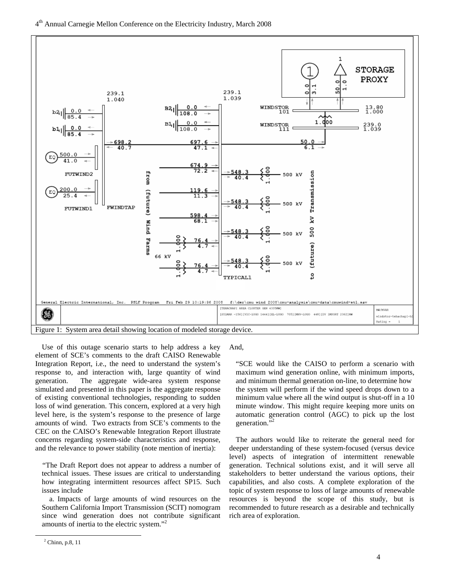

Use of this outage scenario starts to help address a key element of SCE's comments to the draft CAISO Renewable Integration Report, i.e., the need to understand the system's response to, and interaction with, large quantity of wind generation. The aggregate wide-area system response simulated and presented in this paper is the aggregate response of existing conventional technologies, responding to sudden loss of wind generation. This concern, explored at a very high level here, is the system's response to the presence of large amounts of wind. Two extracts from SCE's comments to the CEC on the CAISO's Renewable Integration Report illustrate concerns regarding system-side characteristics and response, and the relevance to power stability (note mention of inertia):

"The Draft Report does not appear to address a number of technical issues. These issues are critical to understanding how integrating intermittent resources affect SP15. Such issues include

a. Impacts of large amounts of wind resources on the Southern California Import Transmission (SCIT) nomogram since wind generation does not contribute significant amounts of inertia to the electric system."<sup>2</sup>

And,

"SCE would like the CAISO to perform a scenario with maximum wind generation online, with minimum imports, and minimum thermal generation on-line, to determine how the system will perform if the wind speed drops down to a minimum value where all the wind output is shut-off in a 10 minute window. This might require keeping more units on automatic generation control (AGC) to pick up the lost generation.'

The authors would like to reiterate the general need for deeper understanding of these system-focused (versus device level) aspects of integration of intermittent renewable generation. Technical solutions exist, and it will serve all stakeholders to better understand the various options, their capabilities, and also costs. A complete exploration of the topic of system response to loss of large amounts of renewable resources is beyond the scope of this study, but is recommended to future research as a desirable and technically rich area of exploration.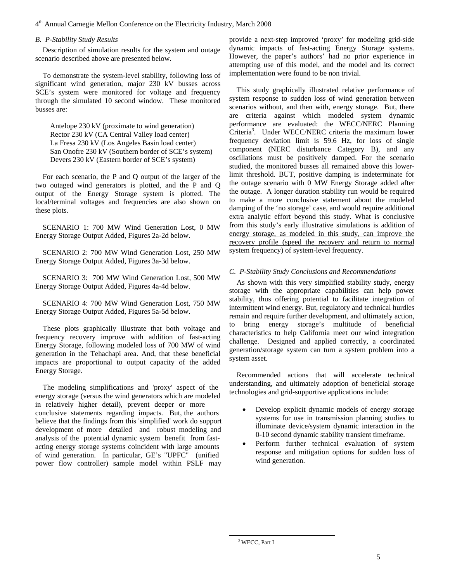# 4th Annual Carnegie Mellon Conference on the Electricity Industry, March 2008

# *B. P-Stability Study Results*

Description of simulation results for the system and outage scenario described above are presented below.

To demonstrate the system-level stability, following loss of significant wind generation, major 230 kV busses across SCE's system were monitored for voltage and frequency through the simulated 10 second window. These monitored busses are:

Antelope 230 kV (proximate to wind generation) Rector 230 kV (CA Central Valley load center) La Fresa 230 kV (Los Angeles Basin load center) San Onofre 230 kV (Southern border of SCE's system) Devers 230 kV (Eastern border of SCE's system)

For each scenario, the P and Q output of the larger of the two outaged wind generators is plotted, and the P and Q output of the Energy Storage system is plotted. The local/terminal voltages and frequencies are also shown on these plots.

SCENARIO 1: 700 MW Wind Generation Lost, 0 MW Energy Storage Output Added, Figures 2a-2d below.

SCENARIO 2: 700 MW Wind Generation Lost, 250 MW Energy Storage Output Added, Figures 3a-3d below.

SCENARIO 3: 700 MW Wind Generation Lost, 500 MW Energy Storage Output Added, Figures 4a-4d below.

SCENARIO 4: 700 MW Wind Generation Lost, 750 MW Energy Storage Output Added, Figures 5a-5d below.

These plots graphically illustrate that both voltage and frequency recovery improve with addition of fast-acting Energy Storage, following modeled loss of 700 MW of wind generation in the Tehachapi area. And, that these beneficial impacts are proportional to output capacity of the added Energy Storage.

The modeling simplifications and 'proxy' aspect of the energy storage (versus the wind generators which are modeled in relatively higher detail), prevent deeper or more conclusive statements regarding impacts. But, the authors believe that the findings from this 'simplified' work do support development of more detailed and robust modeling and analysis of the potential dynamic system benefit from fastacting energy storage systems coincident with large amounts of wind generation. In particular, GE's "UPFC" (unified power flow controller) sample model within PSLF may provide a next-step improved 'proxy' for modeling grid-side dynamic impacts of fast-acting Energy Storage systems. However, the paper's authors' had no prior experience in attempting use of this model, and the model and its correct implementation were found to be non trivial.

This study graphically illustrated relative performance of system response to sudden loss of wind generation between scenarios without, and then with, energy storage. But, there are criteria against which modeled system dynamic performance are evaluated: the WECC/NERC Planning Criteria<sup>3</sup>. Under WECC/NERC criteria the maximum lower frequency deviation limit is 59.6 Hz, for loss of single component (NERC disturbance Category B), and any oscillations must be positively damped. For the scenario studied, the monitored busses all remained above this lowerlimit threshold. BUT, positive damping is indeterminate for the outage scenario with 0 MW Energy Storage added after the outage. A longer duration stability run would be required to make a more conclusive statement about the modeled damping of the 'no storage' case, and would require additional extra analytic effort beyond this study. What is conclusive from this study's early illustrative simulations is addition of energy storage, as modeled in this study, can improve the recovery profile (speed the recovery and return to normal system frequency) of system-level frequency.

# *C. P-Stability Study Conclusions and Recommendations*

As shown with this very simplified stability study, energy storage with the appropriate capabilities can help power stability, thus offering potential to facilitate integration of intermittent wind energy. But, regulatory and technical hurdles remain and require further development, and ultimately action, to bring energy storage's multitude of beneficial characteristics to help California meet our wind integration challenge. Designed and applied correctly, a coordinated generation/storage system can turn a system problem into a system asset.

Recommended actions that will accelerate technical understanding, and ultimately adoption of beneficial storage technologies and grid-supportive applications include:

- Develop explicit dynamic models of energy storage systems for use in transmission planning studies to illuminate device/system dynamic interaction in the 0-10 second dynamic stability transient timeframe.
- Perform further technical evaluation of system response and mitigation options for sudden loss of wind generation.

 $\frac{1}{3}$ <sup>3</sup> WECC, Part I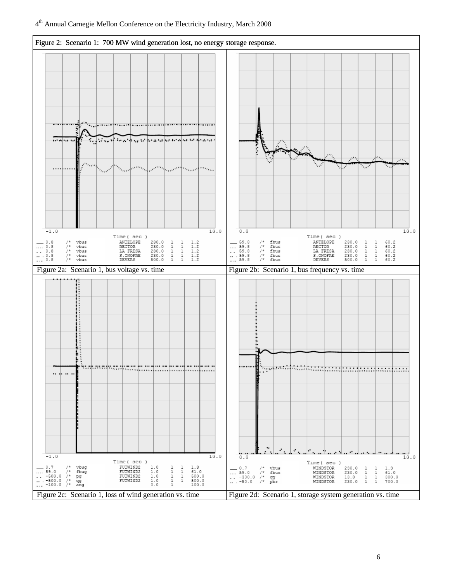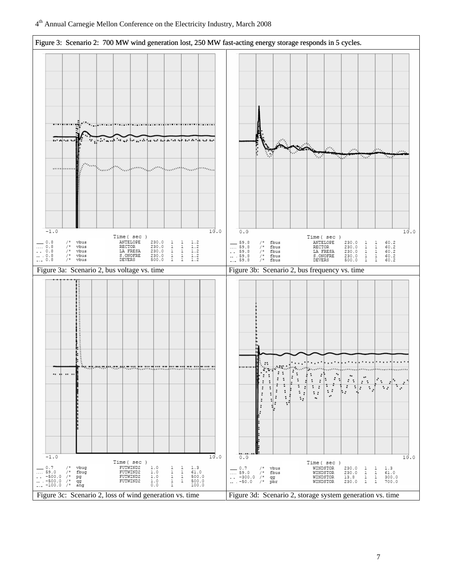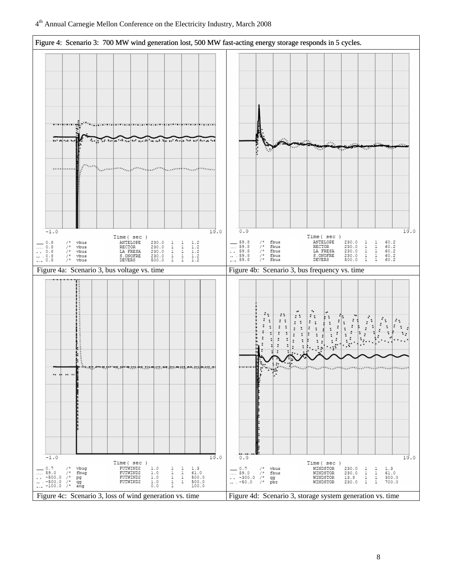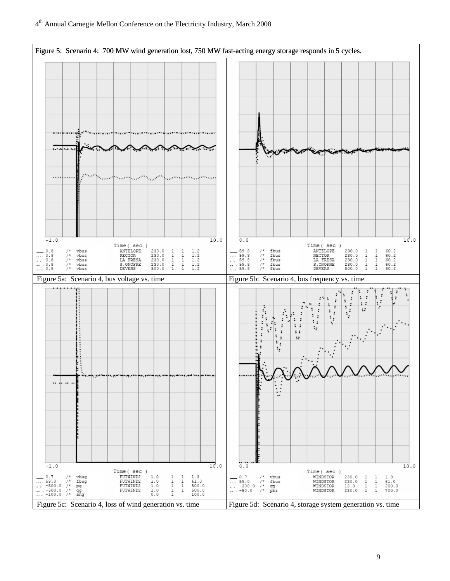